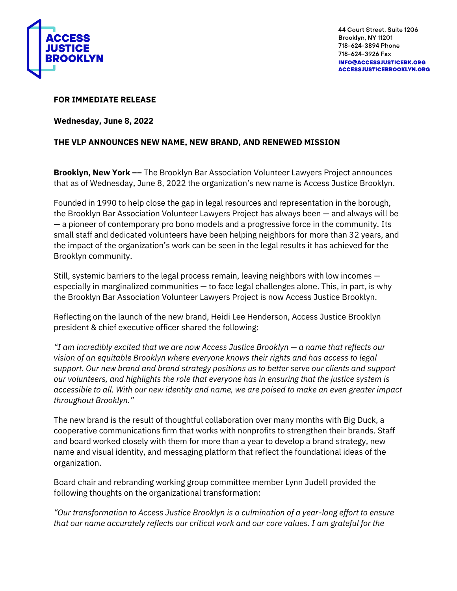

## **FOR IMMEDIATE RELEASE**

**Wednesday, June 8, 2022**

## **THE VLP ANNOUNCES NEW NAME, NEW BRAND, AND RENEWED MISSION**

**Brooklyn, New York ––** The Brooklyn Bar Association Volunteer Lawyers Project announces that as of Wednesday, June 8, 2022 the organization's new name is Access Justice Brooklyn.

Founded in 1990 to help close the gap in legal resources and representation in the borough, the Brooklyn Bar Association Volunteer Lawyers Project has always been — and always will be — a pioneer of contemporary pro bono models and a progressive force in the community. Its small staff and dedicated volunteers have been helping neighbors for more than 32 years, and the impact of the organization's work can be seen in the legal results it has achieved for the Brooklyn community.

Still, systemic barriers to the legal process remain, leaving neighbors with low incomes especially in marginalized communities — to face legal challenges alone. This, in part, is why the Brooklyn Bar Association Volunteer Lawyers Project is now Access Justice Brooklyn.

Reflecting on the launch of the new brand, Heidi Lee Henderson, Access Justice Brooklyn president & chief executive officer shared the following:

*"I am incredibly excited that we are now Access Justice Brooklyn — a name that reflects our vision of an equitable Brooklyn where everyone knows their rights and has access to legal support. Our new brand and brand strategy positions us to better serve our clients and support our volunteers, and highlights the role that everyone has in ensuring that the justice system is accessible to all. With our new identity and name, we are poised to make an even greater impact throughout Brooklyn."*

The new brand is the result of thoughtful collaboration over many months with Big Duck, a cooperative communications firm that works with nonprofits to strengthen their brands. Staff and board worked closely with them for more than a year to develop a brand strategy, new name and visual identity, and messaging platform that reflect the foundational ideas of the organization.

Board chair and rebranding working group committee member Lynn Judell provided the following thoughts on the organizational transformation:

*"Our transformation to Access Justice Brooklyn is a culmination of a year-long effort to ensure that our name accurately reflects our critical work and our core values. I am grateful for the*